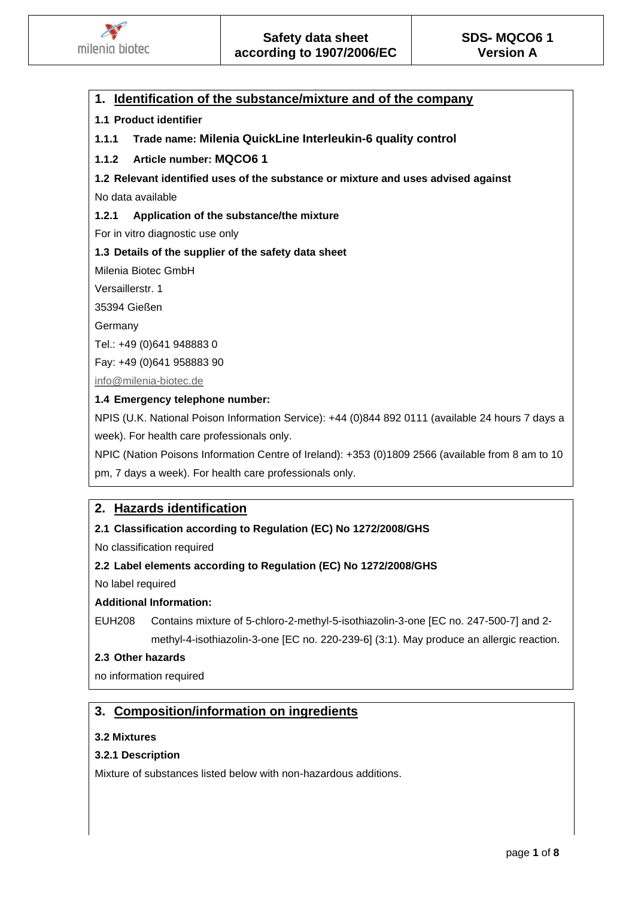

# **1. Identification of the substance/mixture and of the company**

# **1.1 Product identifier**

**1.1.1 Trade name: Milenia QuickLine Interleukin-6 quality control**

# **1.1.2 Article number: MQCO6 1**

# **1.2 Relevant identified uses of the substance or mixture and uses advised against**

No data available

## **1.2.1 Application of the substance/the mixture**

For in vitro diagnostic use only

# **1.3 Details of the supplier of the safety data sheet**

Milenia Biotec GmbH

Versaillerstr. 1

35394 Gießen

Germany

Tel.: +49 (0)641 948883 0

Fay: +49 (0)641 958883 90

[info@milenia-biotec.de](mailto:info@milenia-biotec.de)

## **1.4 Emergency telephone number:**

NPIS (U.K. National Poison Information Service): +44 (0)844 892 0111 (available 24 hours 7 days a week). For health care professionals only.

NPIC (Nation Poisons Information Centre of Ireland): +353 (0)1809 2566 (available from 8 am to 10

pm, 7 days a week). For health care professionals only.

# **2. Hazards identification**

## **2.1 Classification according to Regulation (EC) No 1272/2008/GHS**

No classification required

# **2.2 Label elements according to Regulation (EC) No 1272/2008/GHS**

No label required

# **Additional Information:**

EUH208 Contains mixture of 5-chloro-2-methyl-5-isothiazolin-3-one [EC no. 247-500-7] and 2 methyl-4-isothiazolin-3-one [EC no. 220-239-6] (3:1). May produce an allergic reaction.

## **2.3 Other hazards**

no information required

# **3. Composition/information on ingredients**

## **3.2 Mixtures**

## **3.2.1 Description**

Mixture of substances listed below with non-hazardous additions.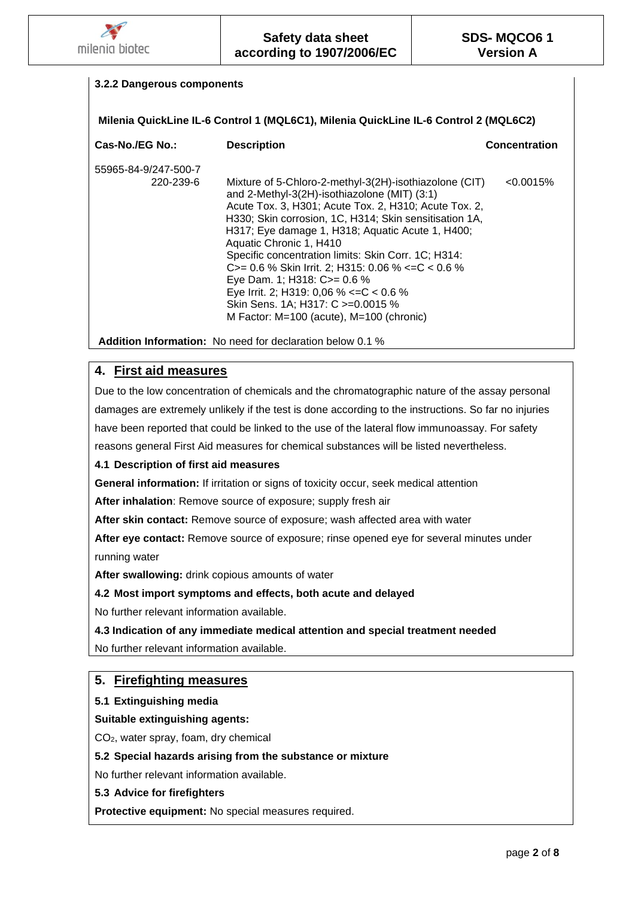

# **3.2.2 Dangerous components Milenia QuickLine IL-6 Control 1 (MQL6C1), Milenia QuickLine IL-6 Control 2 (MQL6C2) Cas-No./EG No.: Description Concentration** 55965-84-9/247-500-7 220-239-6 Mixture of 5-Chloro-2-methyl-3(2H)-isothiazolone (CIT) <0.0015% and 2-Methyl-3(2H)-isothiazolone (MIT) (3:1) Acute Tox. 3, H301; Acute Tox. 2, H310; Acute Tox. 2, H330; Skin corrosion, 1C, H314; Skin sensitisation 1A, H317; Eye damage 1, H318; Aquatic Acute 1, H400; Aquatic Chronic 1, H410 Specific concentration limits: Skin Corr. 1C; H314: C>= 0.6 % Skin Irrit. 2; H315: 0.06 % <=C < 0.6 % Eye Dam. 1; H318: C>= 0.6 % Eye Irrit. 2; H319: 0,06 % <=C < 0.6 % Skin Sens. 1A; H317: C >=0.0015 % M Factor: M=100 (acute), M=100 (chronic)

**Addition Information:** No need for declaration below 0.1 %

# **4. First aid measures**

Due to the low concentration of chemicals and the chromatographic nature of the assay personal damages are extremely unlikely if the test is done according to the instructions. So far no injuries have been reported that could be linked to the use of the lateral flow immunoassay. For safety reasons general First Aid measures for chemical substances will be listed nevertheless.

# **4.1 Description of first aid measures**

**General information:** If irritation or signs of toxicity occur, seek medical attention

**After inhalation**: Remove source of exposure; supply fresh air

**After skin contact:** Remove source of exposure; wash affected area with water

**After eye contact:** Remove source of exposure; rinse opened eye for several minutes under running water

**After swallowing:** drink copious amounts of water

## **4.2 Most import symptoms and effects, both acute and delayed**

No further relevant information available.

## **4.3 Indication of any immediate medical attention and special treatment needed**

No further relevant information available.

# **5. Firefighting measures**

**5.1 Extinguishing media**

**Suitable extinguishing agents:**

CO2, water spray, foam, dry chemical

## **5.2 Special hazards arising from the substance or mixture**

No further relevant information available.

#### **5.3 Advice for firefighters**

**Protective equipment:** No special measures required.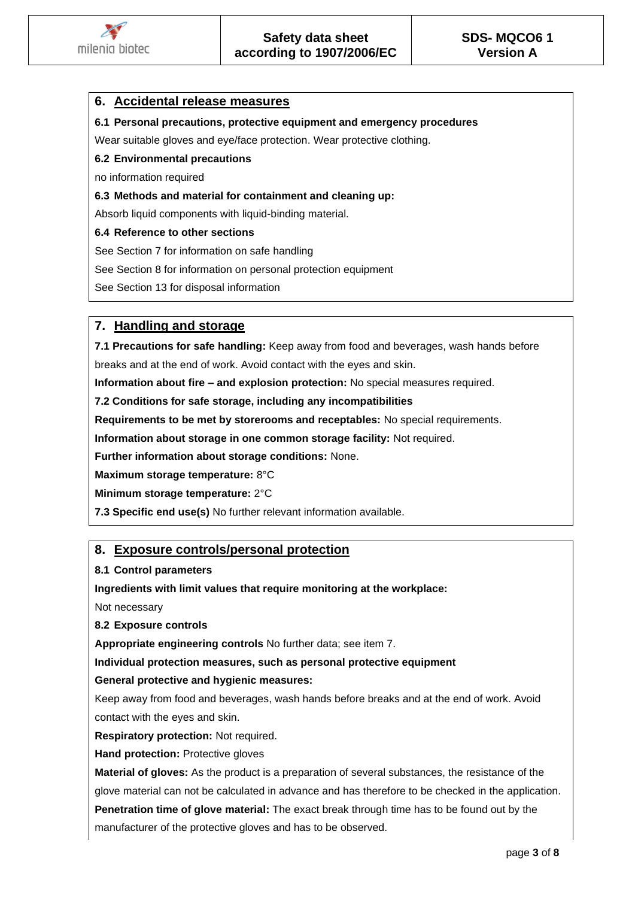

# **6. Accidental release measures**

**6.1 Personal precautions, protective equipment and emergency procedures**

Wear suitable gloves and eve/face protection. Wear protective clothing.

#### **6.2 Environmental precautions**

no information required

**6.3 Methods and material for containment and cleaning up:**

Absorb liquid components with liquid-binding material.

#### **6.4 Reference to other sections**

See Section 7 for information on safe handling

See Section 8 for information on personal protection equipment

See Section 13 for disposal information

# **7. Handling and storage**

**7.1 Precautions for safe handling:** Keep away from food and beverages, wash hands before breaks and at the end of work. Avoid contact with the eyes and skin.

**Information about fire – and explosion protection:** No special measures required.

**7.2 Conditions for safe storage, including any incompatibilities**

**Requirements to be met by storerooms and receptables:** No special requirements.

**Information about storage in one common storage facility:** Not required.

**Further information about storage conditions:** None.

**Maximum storage temperature:** 8°C

**Minimum storage temperature:** 2°C

**7.3 Specific end use(s)** No further relevant information available.

# **8. Exposure controls/personal protection**

**8.1 Control parameters**

**Ingredients with limit values that require monitoring at the workplace:**

Not necessary

**8.2 Exposure controls**

**Appropriate engineering controls** No further data; see item 7.

**Individual protection measures, such as personal protective equipment**

#### **General protective and hygienic measures:**

Keep away from food and beverages, wash hands before breaks and at the end of work. Avoid contact with the eyes and skin.

**Respiratory protection:** Not required.

**Hand protection: Protective gloves** 

**Material of gloves:** As the product is a preparation of several substances, the resistance of the glove material can not be calculated in advance and has therefore to be checked in the application. **Penetration time of glove material:** The exact break through time has to be found out by the manufacturer of the protective gloves and has to be observed.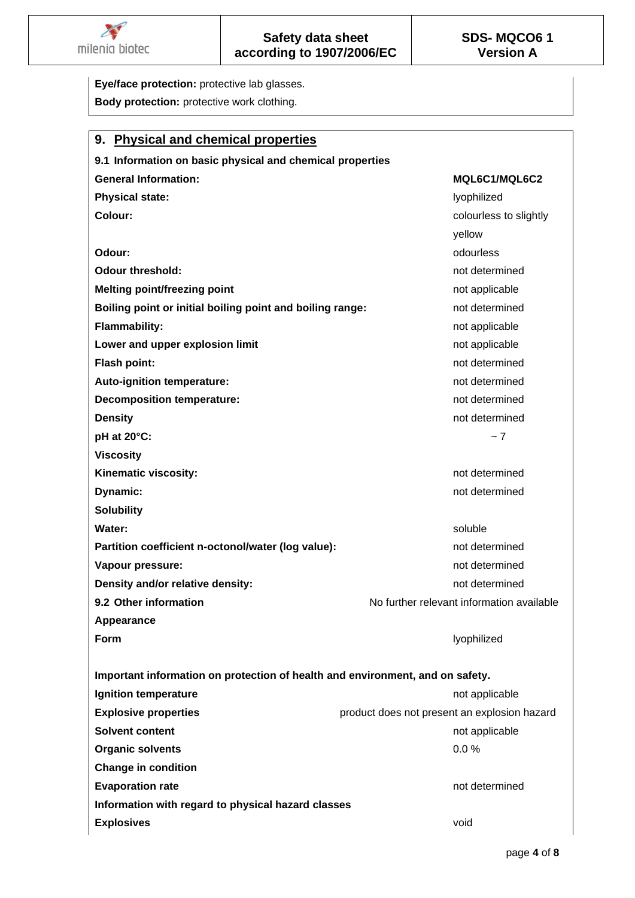

**Eye/face protection:** protective lab glasses. **Body protection:** protective work clothing. **9. Physical and chemical properties 9.1 Information on basic physical and chemical properties General Information: MQL6C1/MQL6C2 Physical state:** lyophilized **in the lyophilized** in the lyophilized **in the lyophilized** in the lyophilized **Colour:** colourless to slightly yellow **Odour:** only a state of the state of the state of the state of the state of the state of the state of the state of the state of the state of the state of the state of the state of the state of the state of the state of th **Odour threshold: not determined not determined not determined Melting point/freezing point** not applicable **Boiling point or initial boiling point and boiling range:** not determined **Flammability:** not applicable that the state of the state of the state of the state of the state of the state of the state of the state of the state of the state of the state of the state of the state of the state of the **Lower and upper explosion limit** not applicable not applicable **Flash point:** not determined Auto-ignition temperature: **not determined** and  $\alpha$  and  $\alpha$  and  $\alpha$  are not determined **Decomposition temperature:** Note that the set of the set of the set of the set of the set of the set of the set of the set of the set of the set of the set of the set of the set of the set of the set of the set of the set **Density not determined not determined pH at 20°C:**  $\sim$  7 **Viscosity Kinematic viscosity:** Notice and Text and Text and Text and Text and Text and Text and Text and Text and Text and Text and Text and Text and Text and Text and Text and Text and Text and Text and Text and Text and Text and **Dynamic:** not determined **Solubility Water:** soluble and soluble and soluble and soluble and soluble and soluble and soluble  $\mathbb{R}$ **Partition coefficient n-octonol/water (log value):** not determined **Vapour pressure:** National Property of the set of the set of the set of the set of the set of the set of the set of the set of the set of the set of the set of the set of the set of the set of the set of the set of the se **Density and/or relative density: not determined not determined 9.2 Other information 19.2 Other information 19.2 Other information available Appearance Form** lyophilized **Important information on protection of health and environment, and on safety. Ignition temperature** not applicable not applicable not applicable **Explosive properties product does not present an explosion hazard Solvent content** not applicable not applicable not applicable not applicable not applicable **Organic solvents** 0.0 % **Change in condition Evaporation rate** not determined **Information with regard to physical hazard classes Explosives** void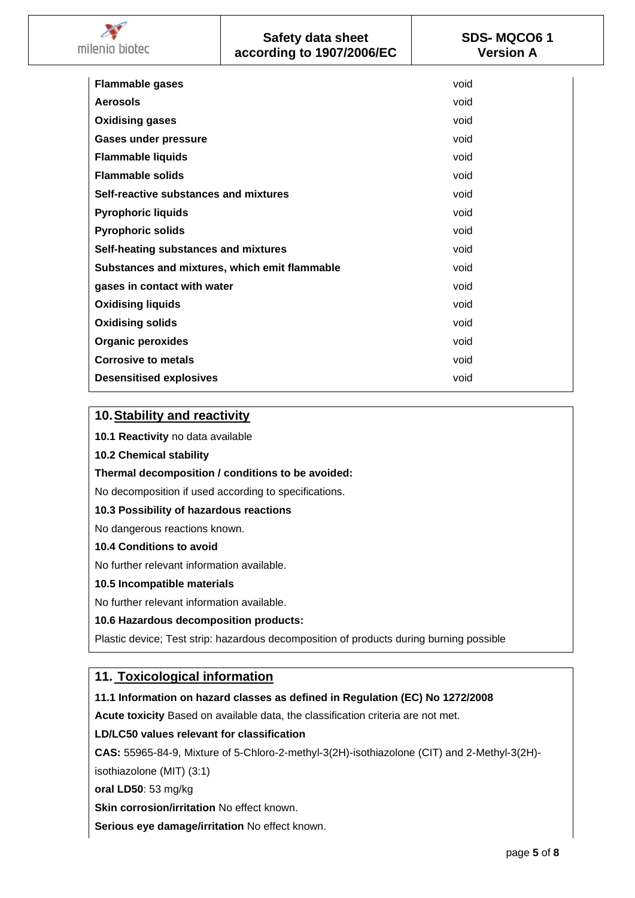| <b>Flammable gases</b>                        | void |
|-----------------------------------------------|------|
|                                               |      |
| Aerosols                                      | void |
| <b>Oxidising gases</b>                        | void |
| <b>Gases under pressure</b>                   | void |
| <b>Flammable liquids</b>                      | void |
| <b>Flammable solids</b>                       | void |
| Self-reactive substances and mixtures         | void |
| <b>Pyrophoric liquids</b>                     | void |
| <b>Pyrophoric solids</b>                      | void |
| Self-heating substances and mixtures          | void |
| Substances and mixtures, which emit flammable | void |
| gases in contact with water                   | void |
| <b>Oxidising liquids</b>                      | void |
| <b>Oxidising solids</b>                       | void |
| <b>Organic peroxides</b>                      | void |
| <b>Corrosive to metals</b>                    | void |
| <b>Desensitised explosives</b>                | void |

# **10.Stability and reactivity**

**10.1 Reactivity** no data available

**10.2 Chemical stability** 

**Thermal decomposition / conditions to be avoided:**

No decomposition if used according to specifications.

## **10.3 Possibility of hazardous reactions**

No dangerous reactions known.

## **10.4 Conditions to avoid**

No further relevant information available.

## **10.5 Incompatible materials**

No further relevant information available.

## **10.6 Hazardous decomposition products:**

Plastic device; Test strip: hazardous decomposition of products during burning possible

# **11. Toxicological information**

## **11.1 Information on hazard classes as defined in Regulation (EC) No 1272/2008**

**Acute toxicity** Based on available data, the classification criteria are not met.

## **LD/LC50 values relevant for classification**

**CAS:** 55965-84-9, Mixture of 5-Chloro-2-methyl-3(2H)-isothiazolone (CIT) and 2-Methyl-3(2H)-

isothiazolone (MIT) (3:1)

**oral LD50**: 53 mg/kg

**Skin corrosion/irritation** No effect known.

**Serious eye damage/irritation** No effect known.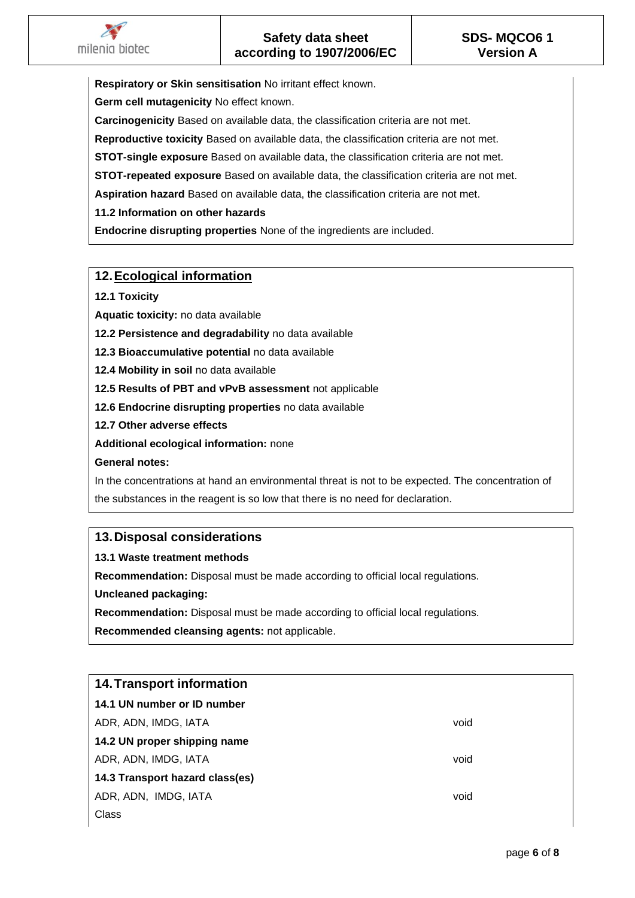**Respiratory or Skin sensitisation** No irritant effect known.

**Germ cell mutagenicity** No effect known.

**Carcinogenicity** Based on available data, the classification criteria are not met.

**Reproductive toxicity** Based on available data, the classification criteria are not met.

**STOT-single exposure** Based on available data, the classification criteria are not met.

**STOT-repeated exposure** Based on available data, the classification criteria are not met.

**Aspiration hazard** Based on available data, the classification criteria are not met.

**11.2 Information on other hazards**

**Endocrine disrupting properties** None of the ingredients are included.

# **12.Ecological information**

**12.1 Toxicity**

**Aquatic toxicity:** no data available

**12.2 Persistence and degradability** no data available

**12.3 Bioaccumulative potential** no data available

**12.4 Mobility in soil** no data available

**12.5 Results of PBT and vPvB assessment** not applicable

**12.6 Endocrine disrupting properties** no data available

**12.7 Other adverse effects**

**Additional ecological information:** none

**General notes:**

In the concentrations at hand an environmental threat is not to be expected. The concentration of the substances in the reagent is so low that there is no need for declaration.

# **13.Disposal considerations**

# **13.1 Waste treatment methods**

**Recommendation:** Disposal must be made according to official local regulations.

**Uncleaned packaging:**

**Recommendation:** Disposal must be made according to official local regulations.

**Recommended cleansing agents:** not applicable.

| <b>14. Transport information</b> |      |
|----------------------------------|------|
| 14.1 UN number or ID number      |      |
| ADR, ADN, IMDG, IATA             | void |
| 14.2 UN proper shipping name     |      |
| ADR, ADN, IMDG, IATA             | void |
| 14.3 Transport hazard class(es)  |      |
| ADR, ADN, IMDG, IATA             | void |
| Class                            |      |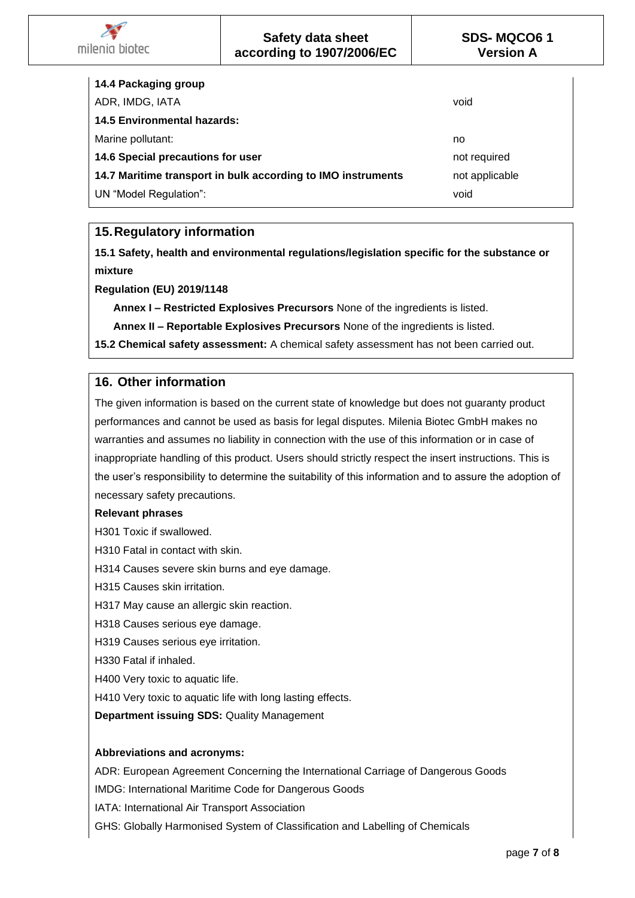| 14.4 Packaging group                                         |                |
|--------------------------------------------------------------|----------------|
| ADR, IMDG, IATA                                              | void           |
| <b>14.5 Environmental hazards:</b>                           |                |
| Marine pollutant:                                            | no             |
| 14.6 Special precautions for user                            | not required   |
| 14.7 Maritime transport in bulk according to IMO instruments | not applicable |
| UN "Model Regulation":                                       | void           |

# **15.Regulatory information**

**15.1 Safety, health and environmental regulations/legislation specific for the substance or mixture**

**Regulation (EU) 2019/1148**

milenia biotec

**Annex I – Restricted Explosives Precursors** None of the ingredients is listed.

**Annex II – Reportable Explosives Precursors** None of the ingredients is listed.

**15.2 Chemical safety assessment:** A chemical safety assessment has not been carried out.

# **16. Other information**

The given information is based on the current state of knowledge but does not guaranty product performances and cannot be used as basis for legal disputes. Milenia Biotec GmbH makes no warranties and assumes no liability in connection with the use of this information or in case of inappropriate handling of this product. Users should strictly respect the insert instructions. This is the user's responsibility to determine the suitability of this information and to assure the adoption of necessary safety precautions.

## **Relevant phrases**

H301 Toxic if swallowed.

H310 Fatal in contact with skin.

H314 Causes severe skin burns and eye damage.

H315 Causes skin irritation.

H317 May cause an allergic skin reaction.

H318 Causes serious eye damage.

H319 Causes serious eye irritation.

H330 Fatal if inhaled.

H400 Very toxic to aquatic life.

H410 Very toxic to aquatic life with long lasting effects.

**Department issuing SDS:** Quality Management

# **Abbreviations and acronyms:**

ADR: European Agreement Concerning the International Carriage of Dangerous Goods

IMDG: International Maritime Code for Dangerous Goods

IATA: International Air Transport Association

GHS: Globally Harmonised System of Classification and Labelling of Chemicals